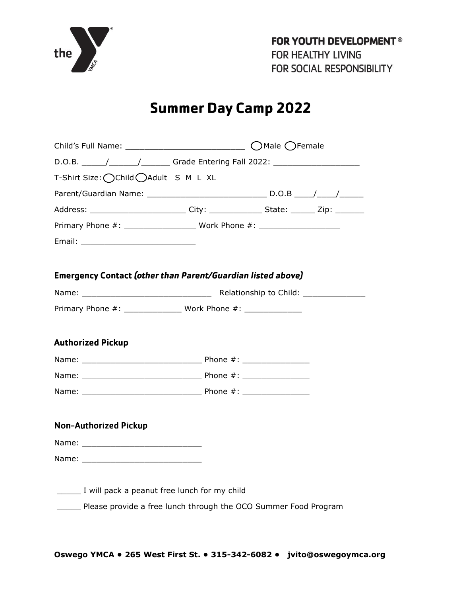

# **Summer Day Camp 2022**

| T-Shirt Size: ◯ Child ◯ Adult S M L XL                                                  |  |  |  |  |
|-----------------------------------------------------------------------------------------|--|--|--|--|
|                                                                                         |  |  |  |  |
| Address: __________________________City: _________________State: ________ Zip: ________ |  |  |  |  |
|                                                                                         |  |  |  |  |
|                                                                                         |  |  |  |  |
|                                                                                         |  |  |  |  |
| <b>Emergency Contact (other than Parent/Guardian listed above)</b>                      |  |  |  |  |
|                                                                                         |  |  |  |  |
|                                                                                         |  |  |  |  |
|                                                                                         |  |  |  |  |
| <b>Authorized Pickup</b>                                                                |  |  |  |  |
|                                                                                         |  |  |  |  |
|                                                                                         |  |  |  |  |
|                                                                                         |  |  |  |  |
|                                                                                         |  |  |  |  |
| <b>Non-Authorized Pickup</b>                                                            |  |  |  |  |
|                                                                                         |  |  |  |  |
|                                                                                         |  |  |  |  |
|                                                                                         |  |  |  |  |
| I will pack a peanut free lunch for my child                                            |  |  |  |  |
| Please provide a free lunch through the OCO Summer Food Program                         |  |  |  |  |
|                                                                                         |  |  |  |  |
|                                                                                         |  |  |  |  |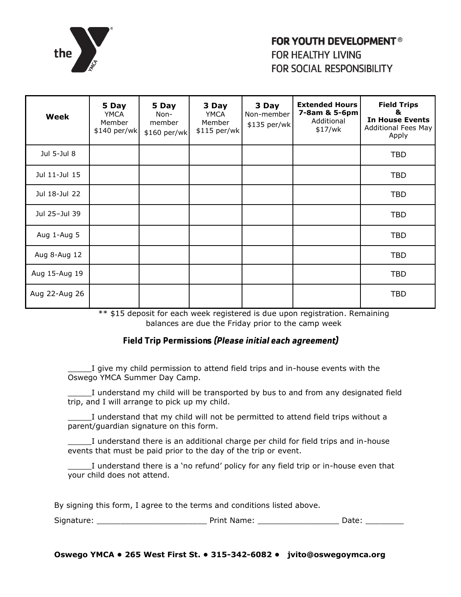

| <b>Week</b>   | 5 Day<br><b>YMCA</b><br>Member<br>\$140 per/wk | 5 Day<br>Non-<br>member<br>\$160 per/wk | 3 Day<br><b>YMCA</b><br>Member<br>\$115 per/wk | 3 Day<br>Non-member<br>\$135 per/wk | <b>Extended Hours</b><br>7-8am & 5-6pm<br>Additional<br>\$17/wk | <b>Field Trips</b><br>&<br><b>In House Events</b><br>Additional Fees May<br>Apply |
|---------------|------------------------------------------------|-----------------------------------------|------------------------------------------------|-------------------------------------|-----------------------------------------------------------------|-----------------------------------------------------------------------------------|
| Jul 5-Jul 8   |                                                |                                         |                                                |                                     |                                                                 | <b>TBD</b>                                                                        |
| Jul 11-Jul 15 |                                                |                                         |                                                |                                     |                                                                 | <b>TBD</b>                                                                        |
| Jul 18-Jul 22 |                                                |                                         |                                                |                                     |                                                                 | <b>TBD</b>                                                                        |
| Jul 25-Jul 39 |                                                |                                         |                                                |                                     |                                                                 | <b>TBD</b>                                                                        |
| Aug 1-Aug 5   |                                                |                                         |                                                |                                     |                                                                 | <b>TBD</b>                                                                        |
| Aug 8-Aug 12  |                                                |                                         |                                                |                                     |                                                                 | <b>TBD</b>                                                                        |
| Aug 15-Aug 19 |                                                |                                         |                                                |                                     |                                                                 | <b>TBD</b>                                                                        |
| Aug 22-Aug 26 |                                                |                                         |                                                |                                     |                                                                 | <b>TBD</b>                                                                        |

\*\* \$15 deposit for each week registered is due upon registration. Remaining balances are due the Friday prior to the camp week

## **Field Trip Permissions (Please initial each agreement)**

\_\_\_\_\_I give my child permission to attend field trips and in-house events with the Oswego YMCA Summer Day Camp.

\_\_\_\_\_I understand my child will be transported by bus to and from any designated field trip, and I will arrange to pick up my child.

\_\_\_\_\_I understand that my child will not be permitted to attend field trips without a parent/guardian signature on this form.

I understand there is an additional charge per child for field trips and in-house events that must be paid prior to the day of the trip or event.

I understand there is a 'no refund' policy for any field trip or in-house even that your child does not attend.

By signing this form, I agree to the terms and conditions listed above.

| $\sim$<br><b>CHARL</b><br>Sian <sup>-</sup> | vamer<br>$1 - 1$ |  |  |  |
|---------------------------------------------|------------------|--|--|--|
|---------------------------------------------|------------------|--|--|--|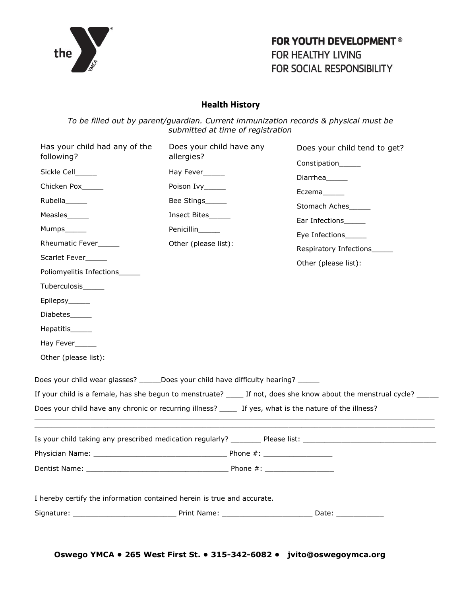

# **Health History**

*To be filled out by parent/guardian. Current immunization records & physical must be submitted at time of registration*

| Has your child had any of the<br>following?                                                              | Does your child have any<br>allergies?  | Does your child tend to get?<br>Constipation_____                                                                    |
|----------------------------------------------------------------------------------------------------------|-----------------------------------------|----------------------------------------------------------------------------------------------------------------------|
| Sickle Cell_____                                                                                         | Hay Fever_____                          | Diarrhea______                                                                                                       |
| Chicken Pox______                                                                                        | Poison Ivy_____                         | Eczema______                                                                                                         |
| Rubella______<br>Measles______                                                                           | Bee Stings______<br>Insect Bites        | Stomach Aches                                                                                                        |
| Mumps______                                                                                              | Penicillin_____<br>Other (please list): | Ear Infections<br>Eye Infections______                                                                               |
| Rheumatic Fever_____<br>Scarlet Fever______<br>Poliomyelitis Infections_____                             |                                         | Respiratory Infections_____<br>Other (please list):                                                                  |
| Tuberculosis______<br>Epilepsy______                                                                     |                                         |                                                                                                                      |
| Diabetes<br>Hepatitis______                                                                              |                                         |                                                                                                                      |
| Hay Fever_____<br>Other (please list):                                                                   |                                         |                                                                                                                      |
| Does your child wear glasses? ______Does your child have difficulty hearing? _____                       |                                         |                                                                                                                      |
|                                                                                                          |                                         | If your child is a female, has she begun to menstruate? _____ If not, does she know about the menstrual cycle? _____ |
| Does your child have any chronic or recurring illness? ______ If yes, what is the nature of the illness? |                                         |                                                                                                                      |
|                                                                                                          |                                         | Is your child taking any prescribed medication regularly? __________ Please list: ____________________________       |
|                                                                                                          |                                         |                                                                                                                      |
|                                                                                                          |                                         |                                                                                                                      |
| I hereby certify the information contained herein is true and accurate.                                  |                                         |                                                                                                                      |
|                                                                                                          |                                         |                                                                                                                      |
|                                                                                                          |                                         |                                                                                                                      |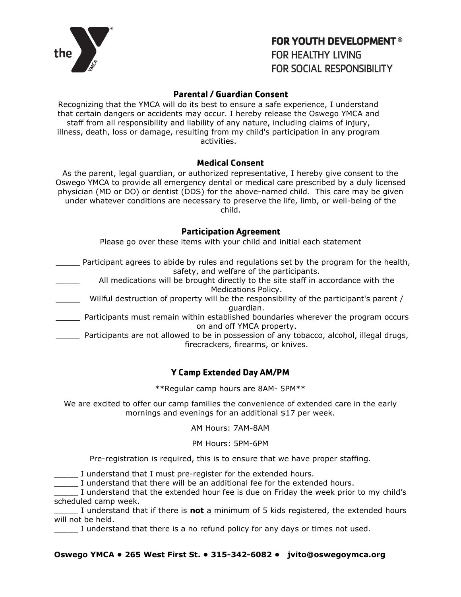

### **Parental / Guardian Consent**

Recognizing that the YMCA will do its best to ensure a safe experience, I understand that certain dangers or accidents may occur. I hereby release the Oswego YMCA and staff from all responsibility and liability of any nature, including claims of injury, illness, death, loss or damage, resulting from my child's participation in any program activities.

#### **Medical Consent**

As the parent, legal guardian, or authorized representative, I hereby give consent to the Oswego YMCA to provide all emergency dental or medical care prescribed by a duly licensed physician (MD or DO) or dentist (DDS) for the above-named child. This care may be given under whatever conditions are necessary to preserve the life, limb, or well-being of the child.

#### **Participation Agreement**

Please go over these items with your child and initial each statement

- Participant agrees to abide by rules and regulations set by the program for the health, safety, and welfare of the participants.
	- All medications will be brought directly to the site staff in accordance with the Medications Policy.
- \_\_\_\_\_ Willful destruction of property will be the responsibility of the participant's parent / guardian.
- \_\_\_\_\_ Participants must remain within established boundaries wherever the program occurs on and off YMCA property.
- **EXECT** Participants are not allowed to be in possession of any tobacco, alcohol, illegal drugs, firecrackers, firearms, or knives.

## **Y Camp Extended Day AM/PM**

\*\*Regular camp hours are 8AM- 5PM\*\*

We are excited to offer our camp families the convenience of extended care in the early mornings and evenings for an additional \$17 per week.

#### AM Hours: 7AM-8AM

#### PM Hours: 5PM-6PM

Pre-registration is required, this is to ensure that we have proper staffing.

I understand that I must pre-register for the extended hours.

\_\_\_\_\_ I understand that there will be an additional fee for the extended hours.

I understand that the extended hour fee is due on Friday the week prior to my child's scheduled camp week.

\_\_\_\_\_ I understand that if there is **not** a minimum of 5 kids registered, the extended hours will not be held.

I understand that there is a no refund policy for any days or times not used.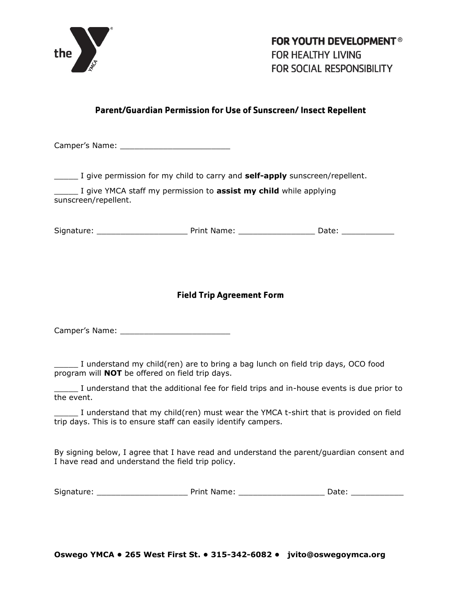

# Parent/Guardian Permission for Use of Sunscreen/Insect Repellent

Camper's Name: \_\_\_\_\_\_\_\_\_\_\_\_\_\_\_\_\_\_\_\_\_\_\_

\_\_\_\_\_ I give permission for my child to carry and **self-apply** sunscreen/repellent.

\_\_\_\_\_ I give YMCA staff my permission to **assist my child** while applying sunscreen/repellent.

Signature: \_\_\_\_\_\_\_\_\_\_\_\_\_\_\_\_\_\_\_ Print Name: \_\_\_\_\_\_\_\_\_\_\_\_\_\_\_\_ Date: \_\_\_\_\_\_\_\_\_\_\_

## **Field Trip Agreement Form**

Camper's Name: \_\_\_\_\_\_\_\_\_\_\_\_\_\_\_\_\_\_\_\_\_\_\_

\_\_\_\_\_ I understand my child(ren) are to bring a bag lunch on field trip days, OCO food program will **NOT** be offered on field trip days.

\_\_\_\_\_ I understand that the additional fee for field trips and in-house events is due prior to the event.

I understand that my child(ren) must wear the YMCA t-shirt that is provided on field trip days. This is to ensure staff can easily identify campers.

By signing below, I agree that I have read and understand the parent/guardian consent and I have read and understand the field trip policy.

| Signature: | Print Name: | )ate: |  |
|------------|-------------|-------|--|
|------------|-------------|-------|--|